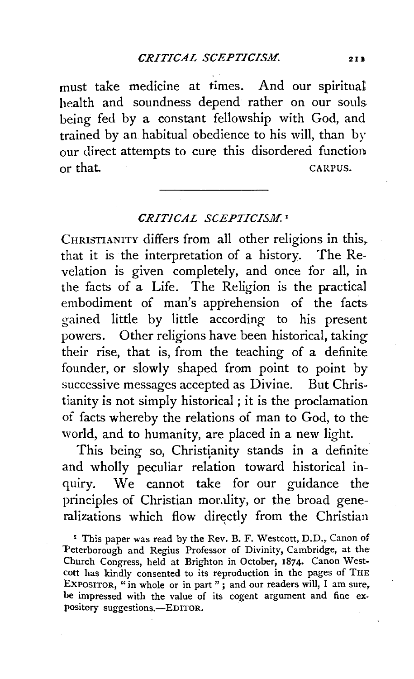must take medicine at times. And our spiritual health and soundness depend rather on our souls being fed by a constant fellowship with God, and trained by an habitual obedience to his will, than by our direct attempts to cure this disordered function or that. CARPUS.

## CRITICAL SCEPTICISM.<sup>1</sup>

CHRISTIANITY differs from all other religions in this, that it is the interpretation of a history. The Revelation is given completely, and once for all, in the facts of a Life. The Religion is the practical embodiment of man's apprehension of the facts gained little by little according to his present powers. Other religions have been historical, taking their rise, that is, from the teaching of a definite founder, or slowly shaped from point to point by successive messages accepted as Divine. But Christianity is not simply historical ; it is the proclamation of facts whereby the relations of man to God, to the world, and to humanity, are placed in a new light.

This being so, Christianity stands in a definite and wholly peculiar relation toward historical inquiry. We cannot take for our guidance the principles of Christian morality, or the broad generalizations which flow directly from the Christian

<sup>1</sup> This paper was read by the Rev. B. F. Westcott, D.D., Canon of 'Peterborough and Regius Professor of Divinity, Cambridge, at the· Church Congress, held at Brighton in October, 1874· Canon Westcott has kindly consented to its reproduction in the pages of THE EXPOSITOR, "in whole or in part"; and our readers will, I am sure, be impressed with the value of its cogent argument and fine expository suggestions.-EDITOR.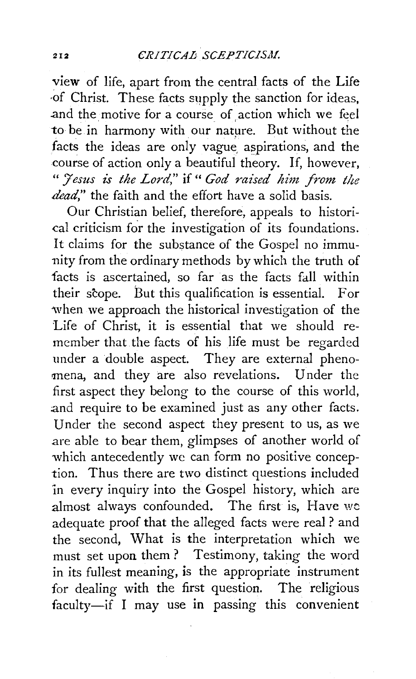view of life, apart from the central facts of the Life ·of Christ. These facts supply the sanction for ideas, and the motive for a course of action which we feel to be in harmony with our nature. But without the facts the ideas are only vague aspirations, and the course of action only a beautiful theory. If, however, *"J'esus* is *the Lord,"* if" *God raised him from tlte dead,"* the faith and the effort have a solid basis.

Our Christian belief, therefore, appeals to histori- -cal criticism for the investigation of its foundations. It claims for the substance of the Gospel no immunity from the ordinary methods by which the truth of facts is ascertained, so far as the facts fall within their scope. But this qualification is essential. For when we approach the historical investigation of the Life of Christ, it is essential that we should remember that the facts of his life must be regarded under a double aspect. They are external phenomena, and they are also revelations. Under the first aspect they belong to the course of this world, and require to be examined just as any other facts. Under the second aspect they present to us, as we are able to bear them, glimpses of another world of which antecedently we can form no positive conception. Thus there are two distinct questions included 'in every inquiry into the Gospel history, which are almost always confounded. The first is, Have  $we$ adequate proof that the alleged facts were real ? and the second, What is the interpretation which we must set upon them? Testimony, taking the word in its fullest meaning, is the appropriate instrument for dealing with the first question. The religious faculty-if I may use in passing this convenient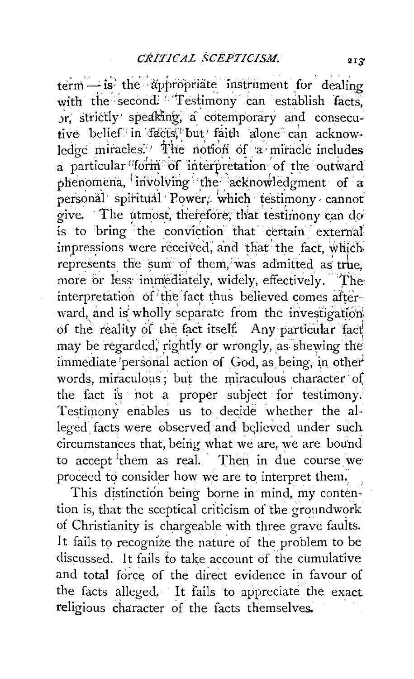$term - is'$  the appropriate instrument for dealing with the second! \* Testimony can establish facts, Jr, strictly speaking; a cotemporary and consecutive belief in facts, but faith alone can acknowledge miracles.<sup>7</sup> The notion of a miracle includes a particular 'form' of interpretation of the outward phenomena, involving the acknowledgment of a personal spiritual Power, which testimony cannot give. The utmost, therefore, that testimony can do is to bring the conviction that certain external impressions were received, and that the fact, which represents the sum of them, was admitted as true. more or less immediately, widely, effectively. The interpretation of the fact thus believed comes afterward, and is wholly separate from the investigation of the reality of the fact itself. Any particular fact may be regarded, rightly or wrongly, as shewing the immediate personal action of God, as being, in other words, miraculous; but the miraculous character of the fact is not a proper subject for testimony. Testimony enables us to decide whether the alleged facts were observed and believed under such circumstances that, being what we are, we are bound to accept them as real. Then in due course we proceed to consider how we are to interpret them.

This distinction being borne in mind, my contention is, that the sceptical criticism of the groundwork of Christianity is chargeable with three grave faults. It fails to recognize the nature of the problem to be discussed. It fails to take account of the cumulative and total force of the direct evidence in favour of the facts alleged, It fails to appreciate the exact religious character of the facts themselves.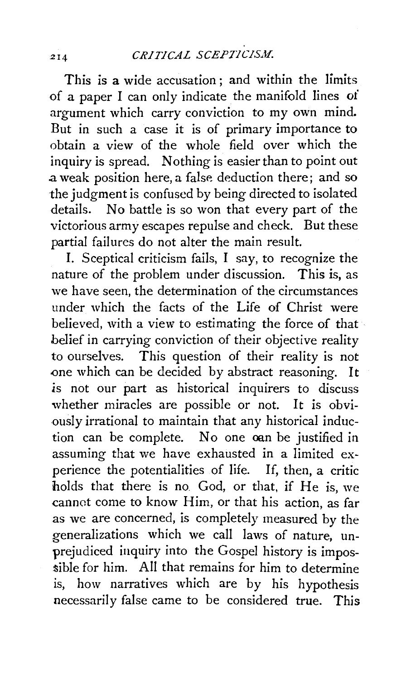This is a wide accusation ; and within the limits of a paper I can only indicate the manifold lines *oi*  argument which carry conviction to my own mind. But in such a case it is of primary importance to obtain a view of the whole field over which the inquiry is spread. Nothing is easier than to point out .a weak position here, a false deduction there; and so the judgment is confused by being directed to isolated details. No battle is so won that every part of the victorious army escapes repulse and check. But these partial failures do not alter the main result.

I. Sceptical criticism fails, I say, to recognize the nature of the problem under discussion. This is, as we have seen, the determination of the circumstances under which the facts of the Life of Christ were believed, with a view to estimating the force of that belief in carrying conviction of their objective reality to ourselves. This question of their reality is not one which can be decided by abstract reasoning. It .is not our part as historical inquirers to discuss whether miracles are possible or not. It is obviously irrational to maintain that any historical induction can be complete. No one oan be justified in assuming that we have exhausted in a limited experience the potentialities of life. If, then, a critic holds that there is no God, or that, if He is, we cannot come to know Him, or that his action, as far as we are concerned, is completely measured by the generalizations which we call laws of nature, unprejudiced inquiry into the Gospel history is impos- .sible for him. All that remains for him to determine is, how narratives which are by his hypothesis necessarily false came to be considered true. This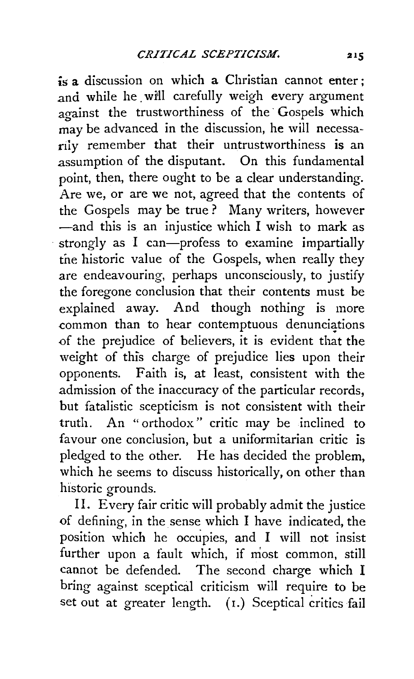is a discussion on which a Christian cannot enter ; and while he will carefully weigh every argument against the trustworthiness of the Gospels which may be advanced in the discussion, he will necessarily remember that their untrustworthiness is an .assumption of the disputant. On this fundamental point, then, there ought to be a clear understanding. Are we, or are we not, agreed that the contents of the Gospels may be true ? Many writers, however  $-$ and this is an injustice which I wish to mark as strongly as I can-profess to examine impartially tne historic value of the Gospels, when really they are endeavouring, perhaps unconsciously, to justify the foregone conclusion that their contents must be explained away. And though nothing is more  $r$  common than to hear contemptuous denunciations of the prejudice of believers, it is evident that the weight of this charge of prejudice lies upon their opponents. Faith is, at least, consistent with the admission of the inaccuracy of the particular records, but fatalistic scepticism is not consistent with their truth. An " orthodox " critic may be inclined to favour one conclusion, but a uniformitarian critic is pledged to the other. He has decided the problem, which he seems to discuss historically, on other than historic grounds.

II. Every fair critic will probably admit the justice of defining, in the sense which I have indicated, the position which he occupies, and I will not insist further upon a fault which, if most common, still cannot be defended. The second charge which I bring against sceptical criticism will require to be set out at greater length. (1.) Sceptical critics fail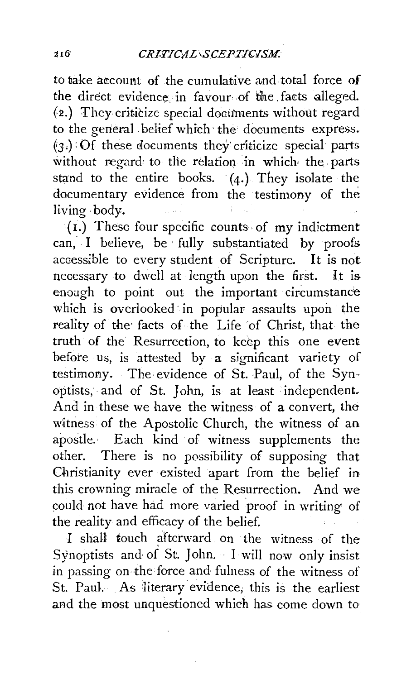to take account of the cumulative and total force of the direct evidence in favour of the facts alleged.  $(2.)$  They criticize special documents without regard to the general . belief which· the documents express.  $(3.)$  : Of these documents they criticize special parts without regard to the relation in which the parts stand to the entire books. (4.) They isolate the documentary evidence from the testimony of the living· body.

(I.) These four specific counts· of my indictment can, I believe, be · fully substantiated by proofs accessible to every student of Scripture. It is not necessary to dwell at length upon the first. It is enough to point out the important circumstance which is overlooked in popular assaults upon the reality of the facts of the Life of Christ, that the truth of the Resurrection, to keep this one evemt before us, is attested by a significant variety of testimony. The evidence of St. Paul, of the Synoptists, and of St. John, is at least ·independent. And in these we have the witness of a convert, thewitness of the Apostolic Church, the witness of an apostle. Each kind of witness supplements the other. There is no possibility of supposing that Christianity ever existed apart from the belief in this crowning miracle of the Resurrection. And we could not have had more varied proof in writing of the reality and efficacy of the belief.

I shall touch afterward on the witness of the Synoptists and of St. John. I will now only insist in passing on the force and fulness of the witness of St. Paul. As literary evidence, this is the earliest and the most unquestioned which has come down to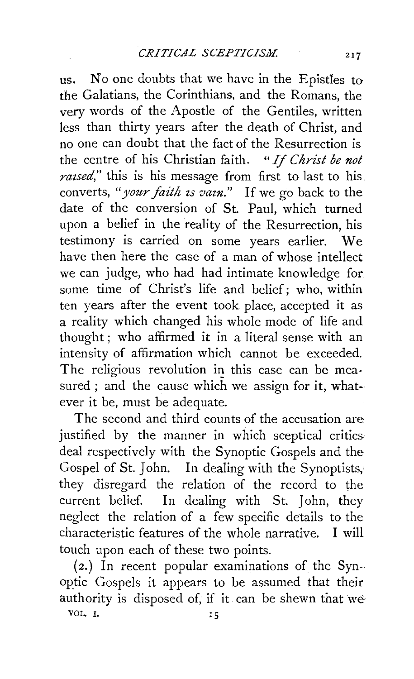us. No one doubts that we have in the Epistles to the Galatians, the Corinthians, and the Romans, the very words of the Apostle of the Gentiles, written less than thirty years after the death of Christ, and no one can doubt that the fact of the Resurrection is the centre of his Christian faith. *"If Christ be not raised*," this is his message from first to last to his. converts, *"your faith zs vazn."* If we go back to the date of the conversion of St. Paul, which turned upon a belief in the reality of the Resurrection, his testimony is carried on some years earlier. We have then here the case of a man of whose intellect we can judge, who had had intimate knowledge for some time of Christ's life and belief; who, within ten years after the event took place, accepted it as a reality which changed his whole mode of life and thought; who affirmed it in a literal sense with an intensity of affirmation which cannot be exceeded. The religious revolution in this case can be measured ; and the cause which we assign for it, whatever it be, must be adequate.

The second and third counts of the accusation are justified by the manner in which sceptical critics deal respectively with the Synoptic Gospels and the Gospel of St. John. In dealing with the Synoptists, they disregard the relation of the record to the current belief. In dealing with St. John, they neglect the relation of a few specific details to the characteristic features of the whole narrative. I will touch apon each of these two points.

(2.) In recent popular examinations of the Synoptic Gospels it appears to be assumed that their authority is disposed of, if it can be shewn that we

VOL. I.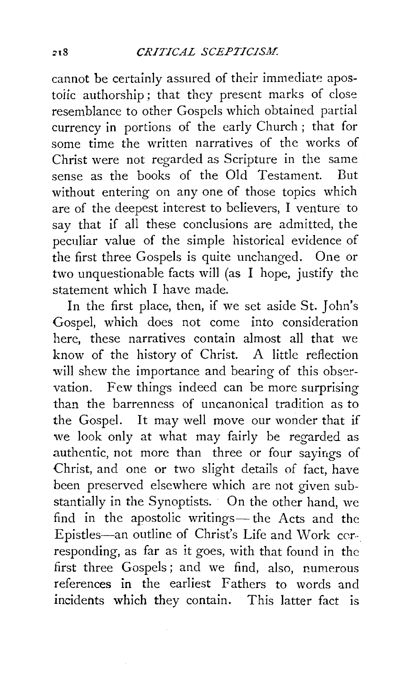cannot be certainly assured of their immediate apostoiic authorship ; that they present marks of close resemblance to other Gospels which obtained partial currency in portions of the early Church; that for some time the written narratives of the works of Christ were not regarded as Scripture in the same sense as the books of the Old Testament. But without entering on any one of those topics which are of the deepest interest to believers, I venture to say that if all these conclusions are admitted, the peculiar value of the simple historical evidence of the first three Gospels is quite unchanged. One or two unquestionable facts will (as I hope, justify the statement which I have made.

In the first place, then, if we set aside St. John's Gospel, which does not come into consideration here, these narratives contain almost all that we know of the history of Christ. A little reflection will shew the importance and bearing of this observation. Few things indeed can be more surprising than the barrenness of uncanonical tradition as to the Gospel. It may well move our wonder that if we look only at what may fairly be regarded as authentic, not more than three or four sayings of Christ, and one or two slight details of fact, have been preserved elsewhere which are not given substantially in the Synoptists. On the other hand, we find in the apostolic writings- the Acts and the Epistles-an outline of Christ's Life and Work cerresponding, as far as it goes, with that found in the first three Gospels ; and we find, also, numerous references in the earliest Fathers to words and incidents which they contain. This latter fact is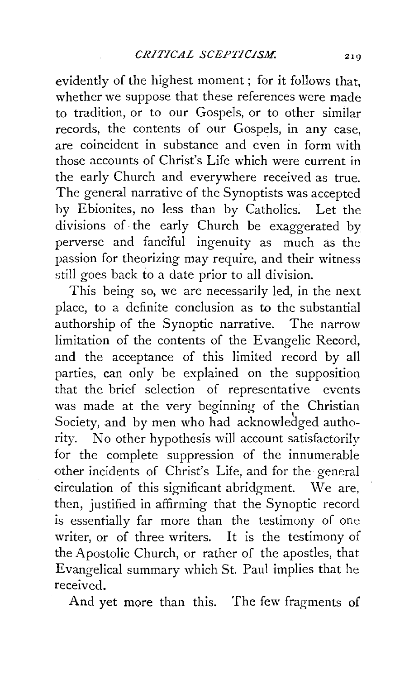evidently of the highest moment ; for it follows that, whether we suppose that these references were made to tradition, or to our Gospels, or to other similar records, the contents of our Gospels, in any case, are coincident in substance and even in form with those accounts of Christ's Life which were current in the early Church and everywhere received as true. The general narrative of the Synoptists was accepted by Ebionites, no less than by Catholics. Let the divisions of the early Church be exaggerated by perverse and fanciful ingenuity as much as the passion for theorizing may require, and their witness still goes back to a date prior to all division.

This being so, we are necessarily led, in the next place, to a definite conclusion as to the substantial authorship of the Synoptic narrative. The narrow limitation of the contents of the Evangelic Record, and the acceptance of this limited record by all parties, can only be explained on the supposition that the brief selection of representative events was made at the very beginning of the Christian Society, and by men who had acknowledged authority. No other hypothesis will account satisfactorily for the complete suppression of the innumerable other incidents of Christ's Life, and for the general circulation of this significant abridgment. We are, then, justified in affirming that the Synoptic record is essentially far more than the testimony of one writer, or of three writers. It is the testimony of the Apostolic Church, or rather of the apostles, that Evangelical summary which St. Paul implies that he received.

And yet more than this. The few fragments of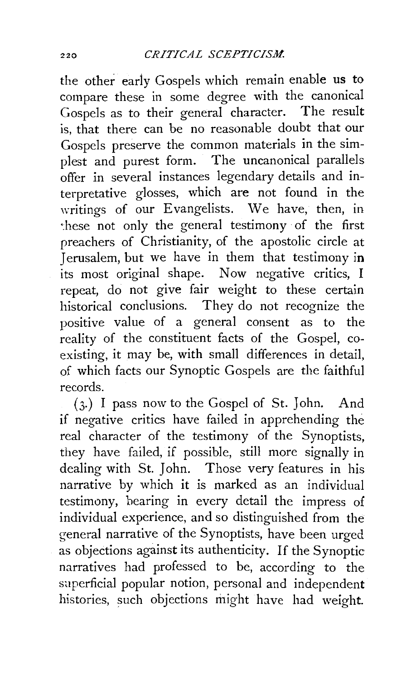the other early Gospels which remain enable us to compare these in some degree with the canonical Gospels as to their general character. The result is, that there can be no reasonable doubt that our Gospels preserve the common materials in the simplest and purest form. The uncanonical parallels offer in several instances legendary details and interpretative glosses, which are not found in the writings of our Evangelists. We have, then, in ~hese not only the general testimony of the first preachers of Christianity, of the apostolic circle at Jerusalem, but we have in them that testimony in its most original shape. Now negative critics, I repeat, do not give fair weight to these certain historical conclusions. They do not recognize the positive value of a general consent as to the reality of the constituent facts of the Gospel, coexisting, it may be, with small differences in detail, of which facts our Synoptic Gospels are the faithful records.

( 3·) I pass now to the Gospel of St. John. And if negative critics have failed in apprehending the real character of the testimony of the Synoptists, they have failed, if possible, still more signally in dealing with St. John. Those very features in his narrative by which it is marked as an individual testimony, bearing in every detail the impress of individual experience, and so distinguished from the general narrative of the Synoptists, have been urged as objections against its authenticity. If the Synoptic narratives had professed to be, according to the superficial popular notion, personal and independent histories, such objections might have had weight.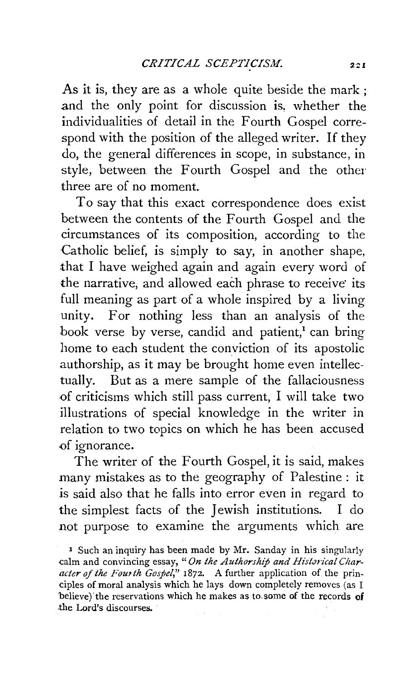As it is, they are as a whole quite beside the mark; .and the only point for discussion is, whether the individualities of detail in the Fourth Gospel correspond with the position of the alleged writer. If they do, the general differences in scope, in substance, in style, between the Fourth Gospel and the other three are of no moment.

To say that this exact correspondence does exist between the contents of the Fourth Gospel and the circumstances of its composition, according to the Catholic belief, is simply to say, in another shape, that I have weighed again and again every word of the narrative, and allowed each phrase to receive its full meaning as part of a whole inspired by a living unity. For nothing less than an analysis of the book verse by verse, candid and patient,<sup>1</sup> can bring home to each student the conviction of its apostolic authorship, as it may be brought home even intellectually. But as a mere sample of the fallaciousness of criticisms which still pass current, I will take two illustrations of special knowledge in the writer in relation to two topics on which he has been accused .of ignorance.

The writer of the Fourth Gospel, it is said, makes many mistakes as to the geography of Palestine : it *is* said also that he falls into error even in regard to the simplest facts of the Jewish institutions. I do not purpose to examine the arguments which are

• Such an inquiry has been made by Mr. Sanday in his singularly calm and convincing essay, "On the Authorship and Historical Char*acter of the Fourth Gospel,"* 1872. A further application of the principles of moral analysis which he lays down completely removes (as I believe) the reservations which he makes as to some of the records of .the Lord's discourses.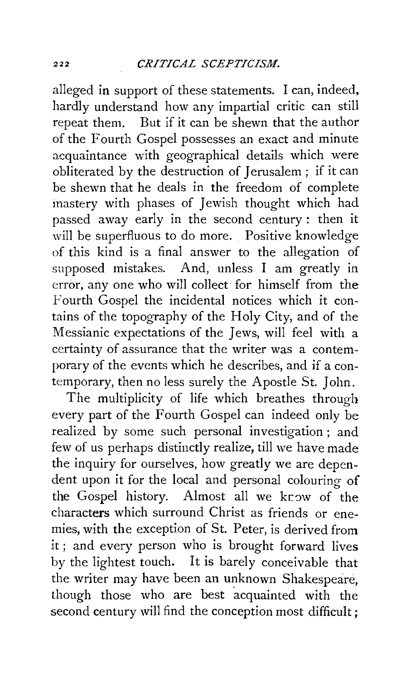alleged in support of these statements. I can, indeed, hardly understand how any impartial critic can still repeat them. But if it can be shewn that the author of the Fourth Gospel possesses an exact and minute acquaintance with geographical details which were obliterated by the destruction of Jerusalem ; if it can be shewn that he deals in the freedom of complete mastery with phases of Jewish thought which had passed away early in the second century : then it will be superfluous to do more. Positive knowledge of this kind is a final answer to the allegation of supposed mistakes. And, unless I am greatly in error, any one who will collect for himself from the Fourth Gospel the incidental notices which it contains of the topography of the Holy City, and of the Messianic expectations of the Jews, will feel with a certainty of assurance that the writer was a contemporary of the events which he describes, and if a contemporary, then no less surely the Apostle St. John.

The multiplicity of life which breathes through every part of the Fourth Gospel can indeed only be realized by some such personal investigation ; and few of us perhaps distinctly realize, till we have made the inquiry for ourselves, how greatly we are dependent upon it for the local and personal colouring of the Gospel history. Almost all we know of the characters which surround Christ as friends or enemies, with the exception of St. Peter, is derived from it ; and every person who is brought forward lives by the lightest touch. It is barely conceivable that the writer may have been an unknown Shakespeare, though those who are best acquainted with the second century will find the conception most difficult: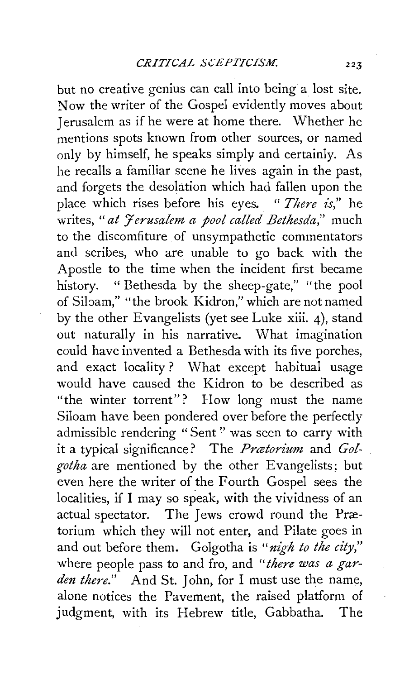but no creative genius can call into being a lost site. Now the writer of the Gospel evidently moves about Jerusalem as if he were at home there. Whether he mentions spots known from other sources, or named only by himself, he speaks simply and certainly. As he recalls a familiar scene he lives again in the past, and forgets the desolation which had fallen upon the place which rises before his eyes. " *There is,"* he writes, "at *Jerusalem a pool called Bethesda*," much to the discomfiture of unsympathetic commentators and scribes, who are unable to go back with the Apostle to the time when the incident first became history. " Bethesda by the sheep-gate," "the pool of Sibam," "the brook Kidron," which are not named by the other Evangelists (yet see Luke xiii. 4), stand out naturally in his narrative. What imagination could have invented a Bethesda with its five porches, and exact locality? What except habitual usage would have caused the Kidron to be described as "the winter torrent"? How long must the name Siloam have been pondered over before the perfectly admissible rendering "Sent'' was seen to carry with it a typical significance? The *Pratorium* and *Gol*gotha are mentioned by the other Evangelists: but even here the writer of the Fourth Gospel sees the localities, if I may so speak, with the vividness of an actual spectator. The Jews crowd round the Prætorium which they will not enter, and Pilate goes in and out before them. Golgotha is *"nigh to the city,"*  where people pass to and fro, and *"there was a garden there."* And St. John, for I must use the name, alone notices the Pavement, the raised platform of judgment, with its Hebrew title, Gabbatha. The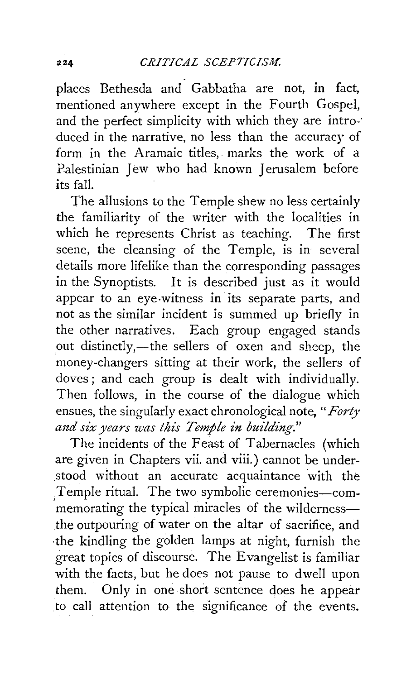places Bethesda and Gabbatha are not, in fact, mentioned anywhere except in the Fourth Gospel, and the perfect simplicity with which they are intro-· duced in the narrative, no less than the accuracy of form in the Aramaic titles, marks the work of a Palestinian Jew who had known Jerusalem before its fall.

The allusions to the Temple shew no less certainly the familiarity of the writer with the localities in which he represents Christ as teaching. The first scene, the cleansing of the Temple, is in several details more lifelike than the corresponding passages in the Synoptists. It is described just as it would appear to an eye-witness in its separate parts, and not as the similar incident is summed up briefly in the other narratives. Each group engaged stands out distinctly,—the sellers of oxen and sheep, the money-changers sitting at their work, the sellers of doves ; and each group is dealt with individually. Then follows, in the course of the dialogue which ensues, the singularly exact chronological note, *"Forty and six years was this Temple in building."* 

The incidents of the Feast of Tabernacles (which are given in Chapters vii. and viii.) cannot be under- .stood without an accurate acquaintance with the Temple ritual. The two symbolic ceremonies-commemorating the typical miracles of the wildernessthe outpouring of water on the altar of sacrifice, and ·the kindling the golden lamps at night, furnish the great topics of discourse. The Evangelist is familiar with the facts, but he does not pause to dwell upon them. Only in one short sentence does he appear to call attention to the significance of the events.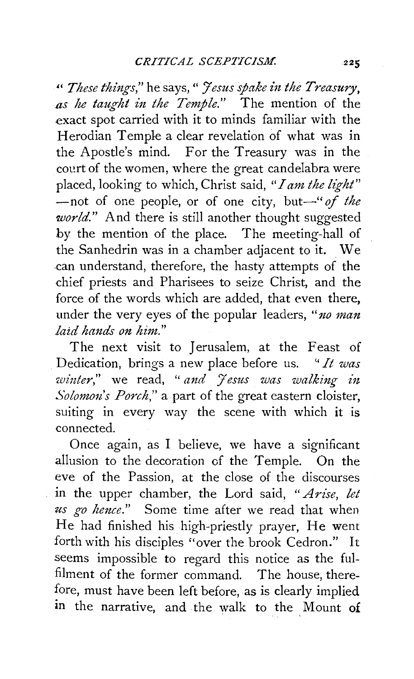" *These things,"* he says," *Jesus spake i1t the Treasury, as he taught in the Temple."* The mention of the exact spot carried with it to minds familiar with the Herodian Temple a clear revelation of what was in the Apostle's mind. For the Treasury was in the cocrt of the women, where the great candelabra were placed, looking to which, Christ said, *"I am the light"*  -not of one people, or of one city, but-" of the *world."* And there is still another thought suggested by the mention of the place. The meeting-hall of the Sanhedrin was in a chamber adjacent to it. We can understand, therefore, the hasty attempts of the chief priests and Pharisees to seize Christ, and the force of the words which are added, that even there, under the very eyes of the popular leaders, *"no man laid hands on him."* 

The next visit to Jerusalem, at the Feast of Dedication, brings a new place before us. *"It was winter*," we read, " *and 'Jesus was walking in Solomon's Porch,"* a part of the great eastern cloister, suiting in every way the scene with which it is connected.

Once again, as I believe, we have a significant allusion to the decoration of the Temple. On the eve of the Passion, at the close of the discourses in the upper chamber, the Lord said, *"Arise, let us go hence."* Some time after we read that when He had finished his high-priestly prayer, He went forth with his disciples "over the brook Cedron." It seems impossible to regard this notice as the fulfilment of the former command. The house, therefore, must have been left before, as is clearly implied in the narrative, and the walk to the Mount of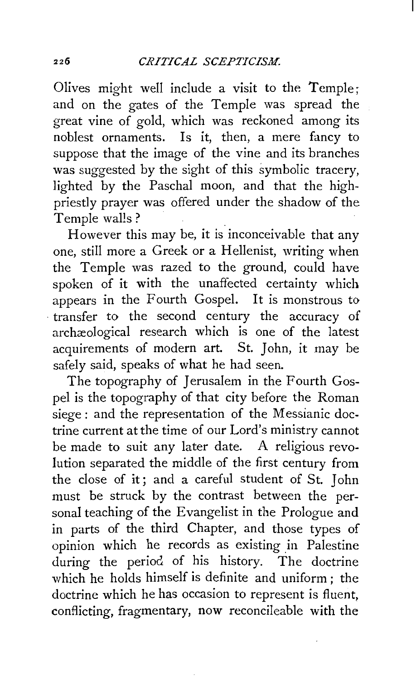Olives might well include a visit to the Temple; and on the gates of the Temple was spread the great vine of gold, which was reckoned among its noblest ornaments. Is it, then, a mere fancy to suppose that the image of the vine and its branches was suggested by the sight of this symbolic tracery, lighted by the Paschal moon, and that the highpriestly prayer was offered under the shadow of the Temple walls?

However this may be, it is inconceivable that any one, still more a Greek or a Hellenist, writing when the Temple was razed to the ground, could have spoken of it with the unaffected certainty which appears in the Fourth Gospel. It is monstrous to · transfer to the second century the accuracy of archæological research which is one of the latest acquirements of modern art. St. John, it may be safely said, speaks of what he had seen.

The topography of Jerusalem in the Fourth Gospel is the topography of that city before the Roman siege: and the representation of the Messianic doctrine current at the time of our Lord's ministry cannot be made to suit any later date. A religious revolution separated the middle of the first century from the close of it ; and a careful student of St. John must be struck by the contrast between the personal teaching of the Evangelist in the Prologue and in parts of the third Chapter, and those types of opinion which he records as existing in Palestine during the period of his history. The doctrine which he holds himself is definite and uniform: the doctrine which he has occasion to represent is fluent, conflicting, fragmentary, now reconcileable with the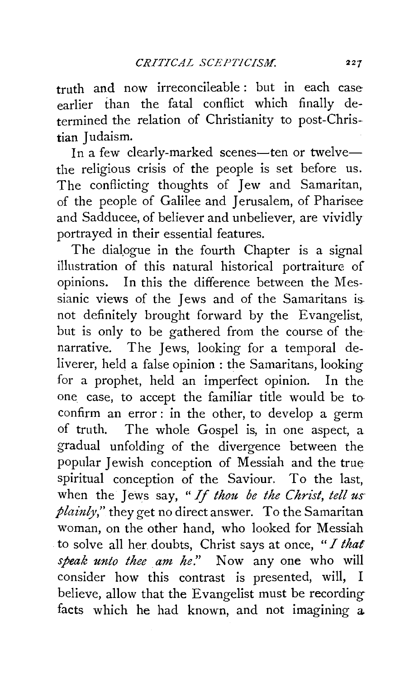truth and now irreconcileable: but in each case earlier than the fatal conflict which finally determined the relation of Christianity to post-Christian Iudaism.

In a few clearly-marked scenes-ten or twelvethe religious crisis of the people is set before us. The conflicting thoughts of Jew and Samaritan, of the people of Galilee and Jerusalem, of Pharisee and Sadducee, of believer and unbeliever, are vividly portrayed in their essential features.

The dialogue in the fourth Chapter is a signal illustration of this natural historical portraiture of  $\alpha$  opinions. In this the difference between the Messianic views of the Jews and of the Samaritans is. not definitely brought forward by the Evangelist, but is only to be gathered from the course of the narrative. The Jews, looking for a temporal deliverer, held a false opinion : the Samaritans, looking for a prophet, held an imperfect opinion. In the one case, to accept the familiar title would be to· confirm an error : in the other, to develop a germ of truth. The whole Gospel is, in one aspect, a gradual unfolding of the divergence between the popular Jewish conception of Messiah and the true spiritual conception of the Saviour. To the last, when the Jews say, *"If thou be the Christ, tell us plainly*," they get no direct answer. To the Samaritan woman, on the other hand, who looked for Messiah to solve all her. doubts, Christ says at once, *"I that speak unto thee am he.*" Now any one who will consider how this contrast is presented, will, I believe, allow that the Evangelist must be recording facts which he had known, and not imagining a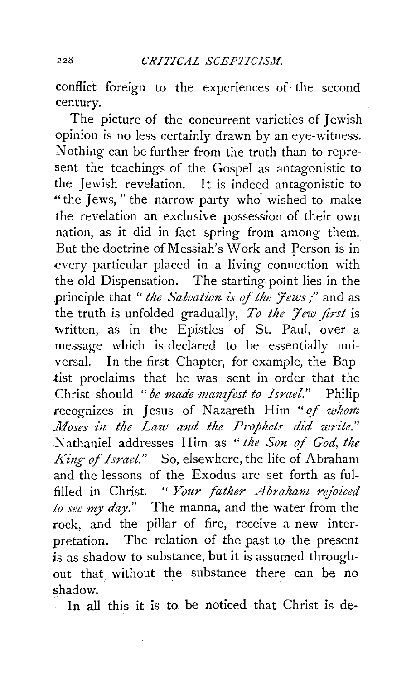conflict foreign to the experiences of· the second century.

The picture of the concurrent varieties of Jewish opinion is no less certainly drawn by an eye-witness. Nothing can be further from the truth than to represent the teachings of the Gospel as antagonistic to the Jewish revelation. It is indeed antagonistic to "the Jews," the narrow party who wished to make the revelation an exclusive possession of their own nation, as it did in fact spring from among them. But the doctrine of Messiah's Work and Person is in every particular placed in a living connection with the old Dispensation. The starting-point lies in the principle that "*the Salvation is of the 'tews*;" and as the truth is unfolded gradually, To the Jew first is written, as in the Epistles of St. Paul, over a message which is declared to be essentially universal. In the first Chapter, for example, the Baptist proclaims that he was sent in order that the Christ should *"be made manifest to Israel."* Philip recognizes in Jesus of Nazareth Him " of whom *Moses in the Law and the Prophets did write."* N athaniel addresses Him as *"the Son of God, the King* of *Israel."* So, elsewhere, the life of Abraham and the lessons of the Exodus are set forth as ful- .filled in Christ. " *Your father A braham rejoiced to see my day."* The manna, and the water from the rock, and the pillar of fire, receive a new interpretation. The relation of the past to the present is as shadow to substance, but it is assumed throughout that without the substance there can be no shadow.

In all this it is to be noticed that Christ is de-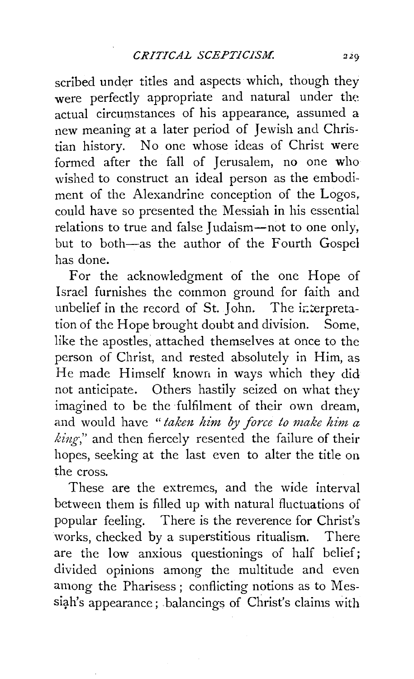scribed under titles and aspects which, though they were perfectly appropriate and natural under the actual circumstances of his appearance, assumed a new meaning at a later period of Jewish and Christian history. No one whose ideas of Christ were formed after the fall of Jerusalem, no one who wished to construct an ideal person as the embodiment of the Alexandrine conception of the Logos, could have so presented the Messiah in his essential relations to true and false Judaism-not to one only, but to both-as the author of the Fourth Gospel has done.

For the acknowledgment of the one Hope of Israel furnishes the common ground for faith and unbelief in the record of St. John. The interpretation of the Hope brought doubt and division. Some, like the apostles, attached themselves at once to the person of Christ, and rested absolutely in Him, as He made Himself known in ways which they did not anticipate. Others hastily seized on what they imagined to be the fulfilment of their own dream, and would have "taken him by force to make him a *king-,"* and then fiercely resented the failure of their hopes, seeking at the last even to alter the title on the cross.

These are the extremes, and the wide interval between them is filled up with natural fluctuations of popular feeling. There is the reverence for Christ's works, checked by a superstitious ritualism. There are the low anxious questionings of half belief; divided opinions among the multitude and even among the Pharisess ; conflicting notions as to Messiah's appearance; balancings of Christ's claims with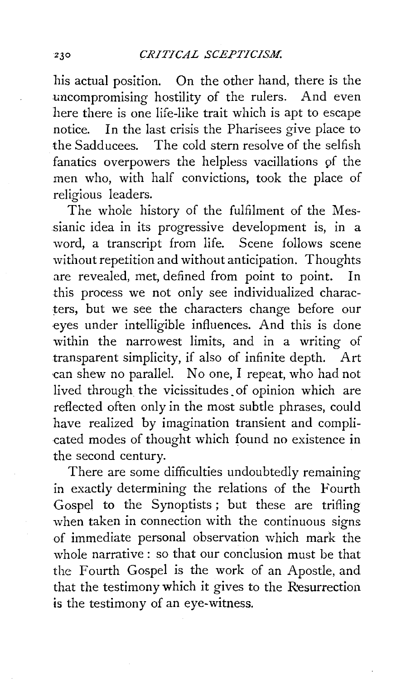his actual position. On the other hand, there is the uncompromising hostility of the rulers. And even here there is one life-like trait which is apt to escape notice. In the last crisis the Pharisees give place to the Sadducees. The cold stern resolve of the selfish fanatics overpowers the helpless vacillations of the men who, with half convictions, took the place of religious leaders.

The whole history of the fulfilment of the Messianic idea in its progressive development is, in a word, a transcript from life. Scene follows scene without repetition and without anticipation. Thoughts are revealed, met, defined from point to point. In this process we not only see individualized characters, but we see the characters change before our eyes under intelligible influences. And this is done within the narrowest limits, and in a writing of transparent simplicity, if also of infinite depth. Art can shew no parallel. No one, I repeat, who had not lived through the vicissitudes\_ of opinion which are reflected often only in the most subtle phrases, could have realized by imagination transient and complicated modes of thought which found no existence in the second century.

There are some difficulties undoubtedly remaining in exactly determining the relations of the Fourth Gospel to the Synoptists ; but these are trifling when taken in connection with the continuous signs of immediate personal observation which mark the whole narrative : so that our conclusion must be that the Fourth Gospel is the work of an Apostle, and that the testimony which it gives to the Resurrection is the testimony of an eye-witness.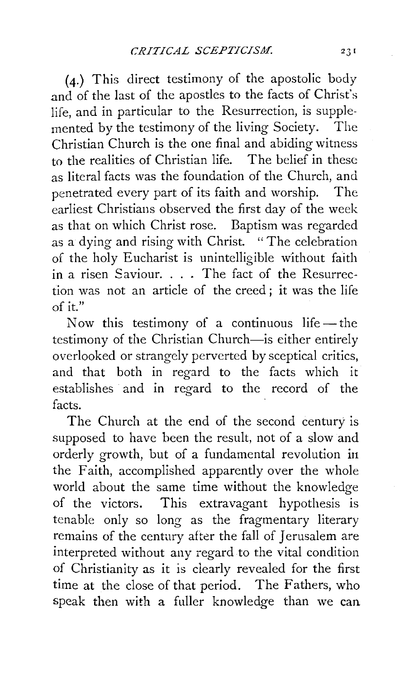(4.) This direct testimony of the apostolic body and of the last of the apostles to the facts of Christ's life, and in particular to the Resurrection, is supplemented by the testimony of the living Society. The Christian Church is the one final and abiding witness to the realities of Christian life. The belief in these as literal facts was the foundation of the Church, and penetrated every part of its faith and worship. The earliest Christians observed the first day of the week as that on which Christ rose. Baptism was regarded as a dying and rising with Christ. "The celebration of the holy Eucharist is unintelligible without faith in a risen Saviour. . . . The fact of the Resurrection was not an article of the creed ; it was the life  $\alpha$ f it."

Now this testimony of a continuous life-the testimony of the Christian Church-is either entirely overlooked or strangely perverted by sceptical critics, and that both in regard to the facts which it establishes and in regard to the record of the facts.

The Church at the end of the second century is supposed to have been the result, not of a slow and orderly growth, but of a fundamental revolution iu the Faith, accomplished apparently over the whole world about the same time without the knowledge of the victors. This extravagant hypothesis is tenable only so long as the fragmentary literary remains of the century after the fall of Jerusalem are interpreted without any regard to the vital condition of Christianity as it is clearly revealed for the first time at the close of that period. The Fathers, who speak then with a fuller knowledge than we can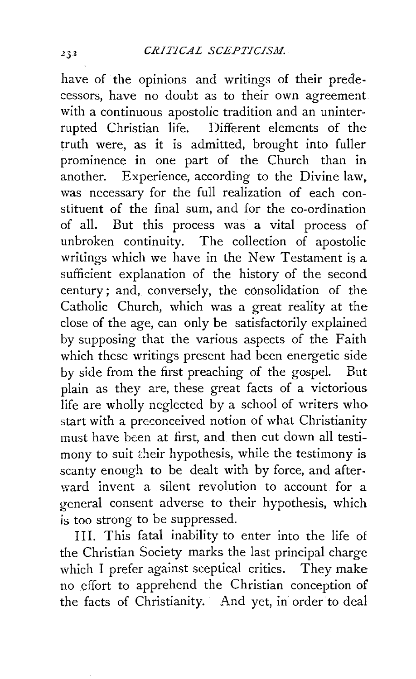have of the opinions and writings of their predecessors, have no doubt a3 to their own agreement with a continuous apostolic tradition and an uninterrupted Christian life. Different elements of the truth were, as it is admitted, brought into fuller prominence in one part of the Church than in another. Experience, according to the Divine law. was necessary for the full realization of each constituent of the final sum, and for the co-ordination of all. But this process was a vital process of unbroken continuity. The collection of apostolic writings which we have in the New Testament is a sufficient explanation of the history of the second century; and, conversely, the consolidation of the Catholic Church, which was a great reality at the close of the age, can only be satisfactorily explained by supposing that the various aspects of the Faith which these writings present had been energetic side by side from the first preaching of the gospel. But plain as they are, these great facts of a victorious life are wholly neglected by a school of writers who start with a preconceived notion of what Christianity must have been at first, and then cut down all testimony to suit their hypothesis, while the testimony is scanty enough to be dealt with by force, and afterward invent a silent revolution to account for a general consent adverse to their hypothesis, which *is* too strong to be suppressed.

Ill. This fatal inability to enter into the life of the Christian Society marks the last principal charge which I prefer against sceptical critics. They make no effort to apprehend the Christian conception of the facts of Christianity. And yet, in order to deal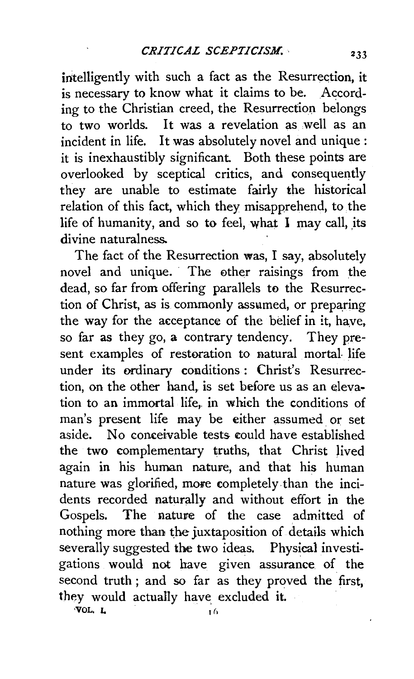intelligently with such a fact as the Resurrection, it is necessary to know what it claims to be. According to the Christian creed, the Resurrection belongs to two worlds. It was a revelation as well as an incident in life. It was absolutely novel and unique: it is inexhaustibly significant. Both these points are overlooked by sceptical critics, and consequently they are unable to estimate fairly the historical relation of this fact, which they misapprehend, to the life of humanity, and so to feel, what  $\overline{I}$  may call, its divine naturalness.

The fact of the Resurrection was, I say, absolutely novel and unique. The other raisings from the dead, so far from offering parallels to the Resurrection of Christ, as is commonly assumed, or preparing the way for the acceptance of the belief in it, have, so far as they go, a contrary tendency. They present examples of restoration to natural mortal life under its ordinary conditions : Christ's Resurrection, on the other hand, is set before us as an elevation to an immortal life, in which the conditions of man's present life may be either assumed or set aside. No conceivable tests eould have established the two complementary truths, that Christ Jived again in his human nature, and that his human nature was glorified, more completely than the incidents recorded naturally and without effort in the Gospels. The nature of the case admitted of nothing more than the juxtaposition of details which severally suggested the two ideas. Physical investigations would not have given assurance. of the second truth ; and so far as they proved the first, they would actually have excluded it.  $VOL. I,$   $I<sub>16</sub>$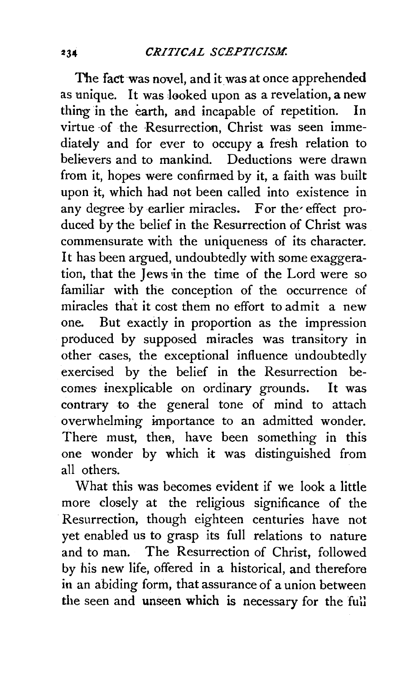The fact was novel, and it was at once apprehended as unique. It was looked upon as a revelation, a new thing in the earth, and incapable of repetition. In virtue of the Resurrection, Christ was seen immediately and for ever to occupy a fresh relation to believers and to mankind. Deductions were drawn from it, hopes were confirmed by it, a faith was built upon it, which had net been called into existence in any degree by earlier miracles. For the effect produced by the belief in the Resurrection of Christ was commensurate with the uniqueness of its character. It has been argued, undoubtedly with some exaggeration, that the Jews in the time of the Lord were so familiar with the conception of the occurrence of miracles tha't it cost them no effort to admit a new one. But exactly in proportion as the impression produced by supposed miracles was transitory in other cases, the exceptional influence undoubtedly exercised by the belief in the Resurrection becomes inexplicable on ordinary grounds. It was contrary to the general tone of mind to attach overwhelming importance to an admitted wonder. There must, then, have been something in this one wonder by which it was distinguished from all others.

What this was becomes evident if we look a little more closely at the religious significance of the Resurrection, though eighteen centuries have not yet enabled us to grasp its full relations to nature and to man. The Resurrection of Christ, followed by his new life, offered in a historical, and therefore in an abiding form, that assurance of a union between the seen and unseen which is necessary for the full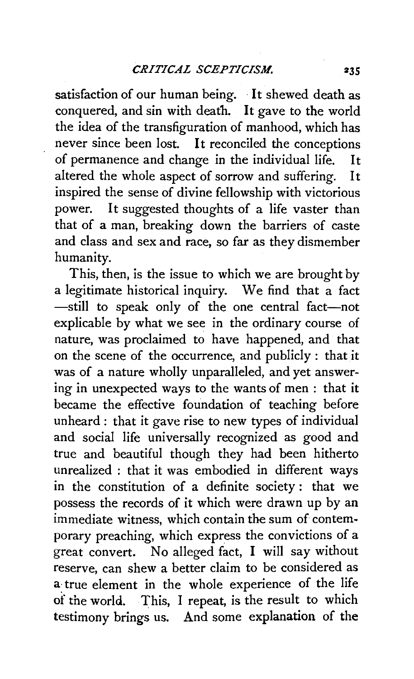satisfaction of our human being. It shewed death as conquered, and sin with death. It gave to the world the idea of the transfiguration of manhood, which has never since been lost. It reconciled the conceptions of permanence and change in the individual life. It altered the whole aspect of sorrow and suffering. It inspired the sense of divine fellowship with victorious power. It suggested thoughts of a life vaster than that of a man, breaking down the barriers of caste and class and sex and race, so far as they dismember humanity.

This, then, is the issue to which we are brought by a legitimate historical inquiry. We find that a fact -still to speak only of the one central fact-not explicable by what we see in the ordinary course of nature, was proclaimed to have happened, and that on the scene of the occurrence, and publicly: that it was of a nature wholly unparalleled, and yet answering in unexpected ways to the wants of men : that it became the effective foundation of teaching before unheard : that it gave rise to new types of individual and social life universally recognized as good and true and beautiful though they had been hitherto unrealized : that it was embodied in different ways in the constitution of a definite society : that we possess the records of it which were drawn up by an immediate witness, which contain the sum of contemporary preaching, which express the convictions of a great convert. No alleged fact, I will say without reserve, can shew a better claim to be considered as a· true element in the whole experience of the life of the world. This, I repeat, is the result to which testimony brings us. And some explanation of the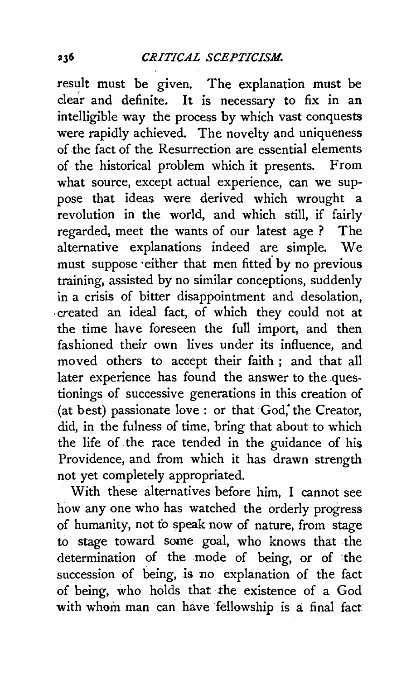result must be given. The explanation must be clear and definite. It is necessary to fix in an intelligible way the process by which vast conquests were rapidly achieved. The novelty and uniqueness of the fact of the Resurrection are essential elements of the historical problem which it presents. From what source, except actual experience, can we suppose that ideas were derived which wrought a revolution in the world, and which still, if fairly regarded, meet the wants of our latest age ? The alternative explanations indeed are simple. We must suppose either that men fitted by no previous training, assisted by no similar conceptions, suddenly in a crisis of bitter disappointment and desolation, , created an ideal fact, of which they could not at the time have foreseen the full import, and then fashioned their own lives under its influence, and moved others to accept their faith ; and that all later experience has found the answer to the questionings of successive generations in this creation of (at best) passionate love : or that God,' the Creator, did, in the fulness of time, bring that about to which the life of the race tended in the guidance of his Providence, and from which it has drawn strength not yet completely appropriated.

With these alternatives before him, I cannot see how any one who has watched the orderly progress of humanity, not to speak now of nature, from stage to stage toward some goal, who knows that the determination of the mode of being, or of the succession of being, is no explanation of the fact of being, who holds that the existence of a God with whom man can have fellowship is a final fact